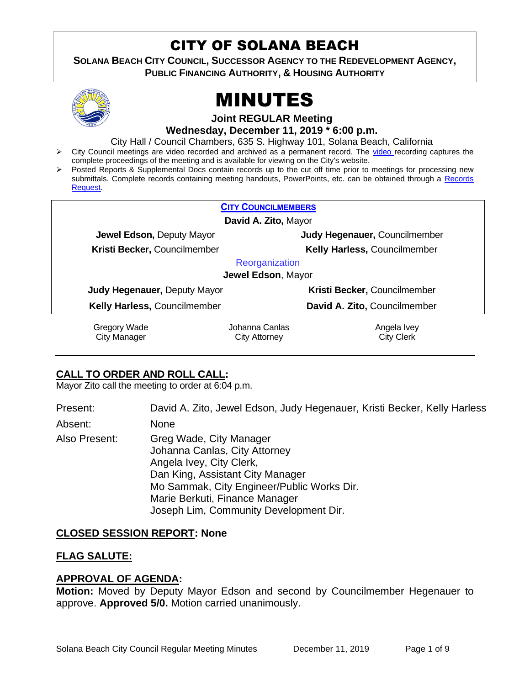# CITY OF SOLANA BEACH

**SOLANA BEACH CITY COUNCIL, SUCCESSOR AGENCY TO THE REDEVELOPMENT AGENCY, PUBLIC FINANCING AUTHORITY, & HOUSING AUTHORITY** 



# MINUTES

**Joint REGULAR Meeting**

**Wednesday, December 11, 2019 \* 6:00 p.m.** 

City Hall / Council Chambers, 635 S. Highway 101, Solana Beach, California

- ➢ City Council meetings are video recorded and archived as a permanent record. The [video r](https://solanabeach.12milesout.com/#page=1)ecording captures the complete proceedings of the meeting and is available for viewing on the City's website.
- Posted Reports & Supplemental Docs contain records up to the cut off time prior to meetings for processing new submittals. Complete records containing meeting handouts, PowerPoints, etc. can be obtained through a [Records](http://www.ci.solana-beach.ca.us/index.asp?SEC=F5D45D10-70CE-4291-A27C-7BD633FC6742&Type=B_BASIC)  [Request.](http://www.ci.solana-beach.ca.us/index.asp?SEC=F5D45D10-70CE-4291-A27C-7BD633FC6742&Type=B_BASIC)

| <b>CITY COUNCILMEMBERS</b>          |                |                               |  |
|-------------------------------------|----------------|-------------------------------|--|
| David A. Zito, Mayor                |                |                               |  |
| Jewel Edson, Deputy Mayor           |                | Judy Hegenauer, Councilmember |  |
| Kristi Becker, Councilmember        |                | Kelly Harless, Councilmember  |  |
| Reorganization                      |                |                               |  |
| Jewel Edson, Mayor                  |                |                               |  |
| <b>Judy Hegenauer, Deputy Mayor</b> |                | Kristi Becker, Councilmember  |  |
| Kelly Harless, Councilmember        |                | David A. Zito, Councilmember  |  |
| Gregory Wade                        | Johanna Canlas | Angela Ivey                   |  |
| <b>City Manager</b>                 | City Attorney  | <b>City Clerk</b>             |  |

# **CALL TO ORDER AND ROLL CALL:**

Mayor Zito call the meeting to order at 6:04 p.m.

Present: David A. Zito, Jewel Edson, Judy Hegenauer, Kristi Becker, Kelly Harless

Absent: None

Also Present: Greg Wade, City Manager Johanna Canlas, City Attorney Angela Ivey, City Clerk, Dan King, Assistant City Manager Mo Sammak, City Engineer/Public Works Dir. Marie Berkuti, Finance Manager Joseph Lim, Community Development Dir.

# **CLOSED SESSION REPORT: None**

# **FLAG SALUTE:**

# **APPROVAL OF AGENDA:**

**Motion:** Moved by Deputy Mayor Edson and second by Councilmember Hegenauer to approve. **Approved 5/0.** Motion carried unanimously.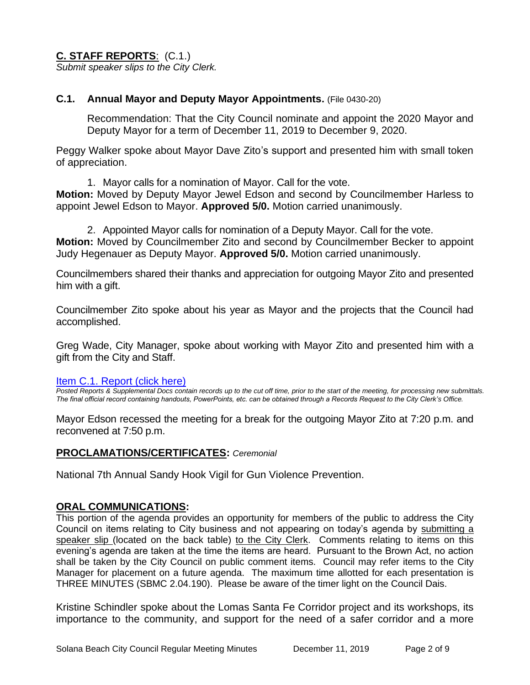# **C. STAFF REPORTS**: (C.1.)

*Submit speaker slips to the City Clerk.*

# **C.1. Annual Mayor and Deputy Mayor Appointments.** (File 0430-20)

Recommendation: That the City Council nominate and appoint the 2020 Mayor and Deputy Mayor for a term of December 11, 2019 to December 9, 2020.

Peggy Walker spoke about Mayor Dave Zito's support and presented him with small token of appreciation.

1. Mayor calls for a nomination of Mayor. Call for the vote.

**Motion:** Moved by Deputy Mayor Jewel Edson and second by Councilmember Harless to appoint Jewel Edson to Mayor. **Approved 5/0.** Motion carried unanimously.

2. Appointed Mayor calls for nomination of a Deputy Mayor. Call for the vote. **Motion:** Moved by Councilmember Zito and second by Councilmember Becker to appoint Judy Hegenauer as Deputy Mayor. **Approved 5/0.** Motion carried unanimously.

Councilmembers shared their thanks and appreciation for outgoing Mayor Zito and presented him with a gift.

Councilmember Zito spoke about his year as Mayor and the projects that the Council had accomplished.

Greg Wade, City Manager, spoke about working with Mayor Zito and presented him with a gift from the City and Staff.

# [Item C.1. Report \(click here\)](https://solanabeach.govoffice3.com/vertical/Sites/%7B840804C2-F869-4904-9AE3-720581350CE7%7D/uploads/Item_C.1._Report_(click_here)_12-11-19_-_O.pdf)

*Posted Reports & Supplemental Docs contain records up to the cut off time, prior to the start of the meeting, for processing new submittals. The final official record containing handouts, PowerPoints, etc. can be obtained through a Records Request to the City Clerk's Office.*

Mayor Edson recessed the meeting for a break for the outgoing Mayor Zito at 7:20 p.m. and reconvened at 7:50 p.m.

# **PROCLAMATIONS/CERTIFICATES:** *Ceremonial*

National 7th Annual Sandy Hook Vigil for Gun Violence Prevention.

# **ORAL COMMUNICATIONS:**

This portion of the agenda provides an opportunity for members of the public to address the City Council on items relating to City business and not appearing on today's agenda by submitting a speaker slip (located on the back table) to the City Clerk. Comments relating to items on this evening's agenda are taken at the time the items are heard. Pursuant to the Brown Act, no action shall be taken by the City Council on public comment items. Council may refer items to the City Manager for placement on a future agenda. The maximum time allotted for each presentation is THREE MINUTES (SBMC 2.04.190). Please be aware of the timer light on the Council Dais.

Kristine Schindler spoke about the Lomas Santa Fe Corridor project and its workshops, its importance to the community, and support for the need of a safer corridor and a more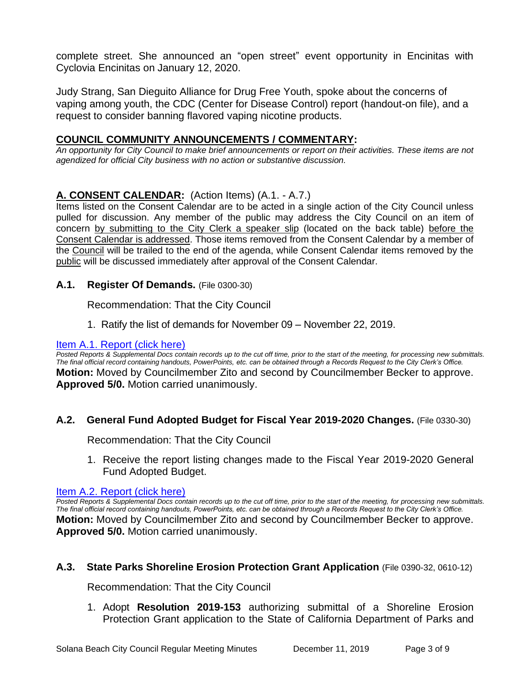complete street. She announced an "open street" event opportunity in Encinitas with Cyclovia Encinitas on January 12, 2020.

Judy Strang, San Dieguito Alliance for Drug Free Youth, spoke about the concerns of vaping among youth, the CDC (Center for Disease Control) report (handout-on file), and a request to consider banning flavored vaping nicotine products.

# **COUNCIL COMMUNITY ANNOUNCEMENTS / COMMENTARY:**

*An opportunity for City Council to make brief announcements or report on their activities. These items are not agendized for official City business with no action or substantive discussion.* 

# **A. CONSENT CALENDAR:** (Action Items) (A.1. - A.7.)

Items listed on the Consent Calendar are to be acted in a single action of the City Council unless pulled for discussion. Any member of the public may address the City Council on an item of concern by submitting to the City Clerk a speaker slip (located on the back table) before the Consent Calendar is addressed. Those items removed from the Consent Calendar by a member of the Council will be trailed to the end of the agenda, while Consent Calendar items removed by the public will be discussed immediately after approval of the Consent Calendar.

# **A.1. Register Of Demands.** (File 0300-30)

Recommendation: That the City Council

1. Ratify the list of demands for November 09 – November 22, 2019.

## [Item A.1. Report \(click here\)](https://solanabeach.govoffice3.com/vertical/Sites/%7B840804C2-F869-4904-9AE3-720581350CE7%7D/uploads/Item_A.1._Report_(click_here)_12-11-19_-_O.pdf)

*Posted Reports & Supplemental Docs contain records up to the cut off time, prior to the start of the meeting, for processing new submittals. The final official record containing handouts, PowerPoints, etc. can be obtained through a Records Request to the City Clerk's Office.* **Motion:** Moved by Councilmember Zito and second by Councilmember Becker to approve. **Approved 5/0.** Motion carried unanimously.

# **A.2. General Fund Adopted Budget for Fiscal Year 2019-2020 Changes.** (File 0330-30)

Recommendation: That the City Council

1. Receive the report listing changes made to the Fiscal Year 2019-2020 General Fund Adopted Budget.

## [Item A.2. Report \(click here\)](https://solanabeach.govoffice3.com/vertical/Sites/%7B840804C2-F869-4904-9AE3-720581350CE7%7D/uploads/Item_A.2._Report_(click_here)_12-11-19_-_O.pdf)

*Posted Reports & Supplemental Docs contain records up to the cut off time, prior to the start of the meeting, for processing new submittals. The final official record containing handouts, PowerPoints, etc. can be obtained through a Records Request to the City Clerk's Office.* **Motion:** Moved by Councilmember Zito and second by Councilmember Becker to approve. **Approved 5/0.** Motion carried unanimously.

## **A.3. State Parks Shoreline Erosion Protection Grant Application** (File 0390-32, 0610-12)

Recommendation: That the City Council

1. Adopt **Resolution 2019-153** authorizing submittal of a Shoreline Erosion Protection Grant application to the State of California Department of Parks and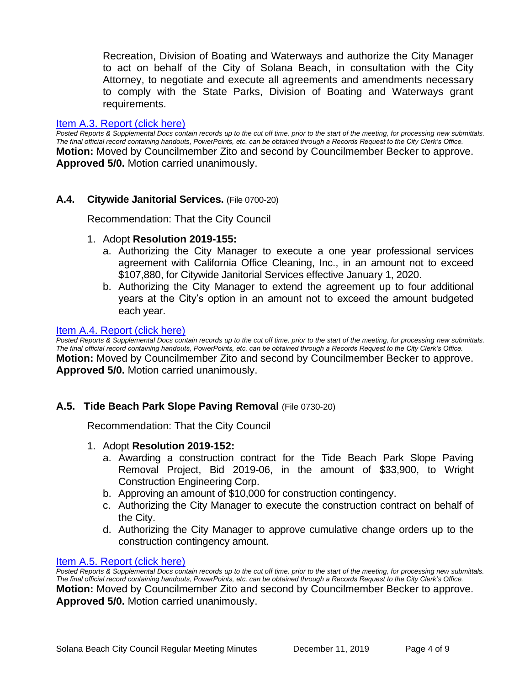Recreation, Division of Boating and Waterways and authorize the City Manager to act on behalf of the City of Solana Beach, in consultation with the City Attorney, to negotiate and execute all agreements and amendments necessary to comply with the State Parks, Division of Boating and Waterways grant requirements.

# [Item A.3. Report \(click here\)](https://solanabeach.govoffice3.com/vertical/Sites/%7B840804C2-F869-4904-9AE3-720581350CE7%7D/uploads/Item_A.3._Report_(click_here)_12-11-19_-_O.pdf)

*Posted Reports & Supplemental Docs contain records up to the cut off time, prior to the start of the meeting, for processing new submittals. The final official record containing handouts, PowerPoints, etc. can be obtained through a Records Request to the City Clerk's Office.* **Motion:** Moved by Councilmember Zito and second by Councilmember Becker to approve. **Approved 5/0.** Motion carried unanimously.

# **A.4. Citywide Janitorial Services.** (File 0700-20)

Recommendation: That the City Council

- 1. Adopt **Resolution 2019-155:**
	- a. Authorizing the City Manager to execute a one year professional services agreement with California Office Cleaning, Inc., in an amount not to exceed \$107,880, for Citywide Janitorial Services effective January 1, 2020.
	- b. Authorizing the City Manager to extend the agreement up to four additional years at the City's option in an amount not to exceed the amount budgeted each year.

#### [Item A.4. Report \(click here\)](https://solanabeach.govoffice3.com/vertical/Sites/%7B840804C2-F869-4904-9AE3-720581350CE7%7D/uploads/Item_A.4._Report_(click_here)_12-11-19_-_O.pdf)

*Posted Reports & Supplemental Docs contain records up to the cut off time, prior to the start of the meeting, for processing new submittals. The final official record containing handouts, PowerPoints, etc. can be obtained through a Records Request to the City Clerk's Office.* **Motion:** Moved by Councilmember Zito and second by Councilmember Becker to approve. **Approved 5/0.** Motion carried unanimously.

# **A.5. Tide Beach Park Slope Paving Removal** (File 0730-20)

Recommendation: That the City Council

- 1. Adopt **Resolution 2019-152:**
	- a. Awarding a construction contract for the Tide Beach Park Slope Paving Removal Project, Bid 2019-06, in the amount of \$33,900, to Wright Construction Engineering Corp.
	- b. Approving an amount of \$10,000 for construction contingency.
	- c. Authorizing the City Manager to execute the construction contract on behalf of the City.
	- d. Authorizing the City Manager to approve cumulative change orders up to the construction contingency amount.

## [Item A.5. Report \(click here\)](https://solanabeach.govoffice3.com/vertical/Sites/%7B840804C2-F869-4904-9AE3-720581350CE7%7D/uploads/Item_A.5._Report_(click_here)_12-11-19_-_O.pdf)

*Posted Reports & Supplemental Docs contain records up to the cut off time, prior to the start of the meeting, for processing new submittals. The final official record containing handouts, PowerPoints, etc. can be obtained through a Records Request to the City Clerk's Office.* **Motion:** Moved by Councilmember Zito and second by Councilmember Becker to approve. **Approved 5/0.** Motion carried unanimously.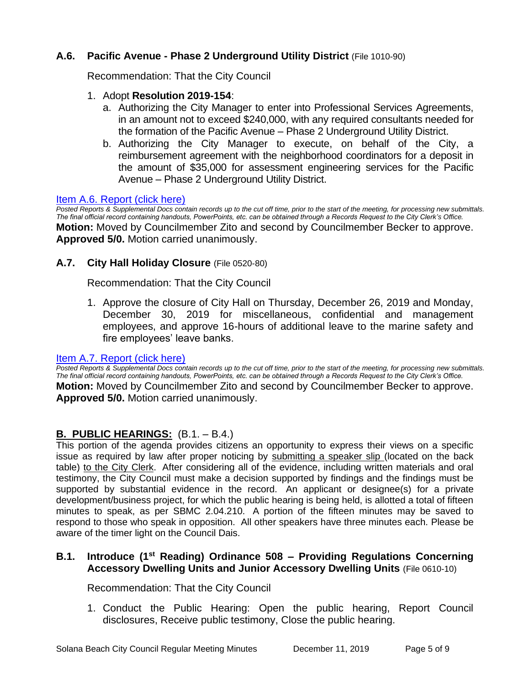# **A.6. Pacific Avenue - Phase 2 Underground Utility District** (File 1010-90)

Recommendation: That the City Council

# 1. Adopt **Resolution 2019-154**:

- a. Authorizing the City Manager to enter into Professional Services Agreements, in an amount not to exceed \$240,000, with any required consultants needed for the formation of the Pacific Avenue – Phase 2 Underground Utility District.
- b. Authorizing the City Manager to execute, on behalf of the City, a reimbursement agreement with the neighborhood coordinators for a deposit in the amount of \$35,000 for assessment engineering services for the Pacific Avenue – Phase 2 Underground Utility District.

## [Item A.6. Report \(click here\)](https://solanabeach.govoffice3.com/vertical/Sites/%7B840804C2-F869-4904-9AE3-720581350CE7%7D/uploads/Item_A.6._Report_(click_here)_12-11-19_-_O.pdf)

*Posted Reports & Supplemental Docs contain records up to the cut off time, prior to the start of the meeting, for processing new submittals. The final official record containing handouts, PowerPoints, etc. can be obtained through a Records Request to the City Clerk's Office.* **Motion:** Moved by Councilmember Zito and second by Councilmember Becker to approve. **Approved 5/0.** Motion carried unanimously.

# **A.7. City Hall Holiday Closure** (File 0520-80)

Recommendation: That the City Council

1. Approve the closure of City Hall on Thursday, December 26, 2019 and Monday, December 30, 2019 for miscellaneous, confidential and management employees, and approve 16-hours of additional leave to the marine safety and fire employees' leave banks.

## [Item A.7. Report \(click here\)](https://solanabeach.govoffice3.com/vertical/Sites/%7B840804C2-F869-4904-9AE3-720581350CE7%7D/uploads/Item_A.7._Report_(click_here)_12-11-19_-_O.PDF)

*Posted Reports & Supplemental Docs contain records up to the cut off time, prior to the start of the meeting, for processing new submittals. The final official record containing handouts, PowerPoints, etc. can be obtained through a Records Request to the City Clerk's Office.* **Motion:** Moved by Councilmember Zito and second by Councilmember Becker to approve. **Approved 5/0.** Motion carried unanimously.

# **B. PUBLIC HEARINGS:** (B.1. – B.4.)

This portion of the agenda provides citizens an opportunity to express their views on a specific issue as required by law after proper noticing by submitting a speaker slip (located on the back table) to the City Clerk. After considering all of the evidence, including written materials and oral testimony, the City Council must make a decision supported by findings and the findings must be supported by substantial evidence in the record. An applicant or designee(s) for a private development/business project, for which the public hearing is being held, is allotted a total of fifteen minutes to speak, as per SBMC 2.04.210. A portion of the fifteen minutes may be saved to respond to those who speak in opposition. All other speakers have three minutes each. Please be aware of the timer light on the Council Dais.

# **B.1. Introduce (1st Reading) Ordinance 508 – Providing Regulations Concerning Accessory Dwelling Units and Junior Accessory Dwelling Units** (File 0610-10)

Recommendation: That the City Council

1. Conduct the Public Hearing: Open the public hearing, Report Council disclosures, Receive public testimony, Close the public hearing.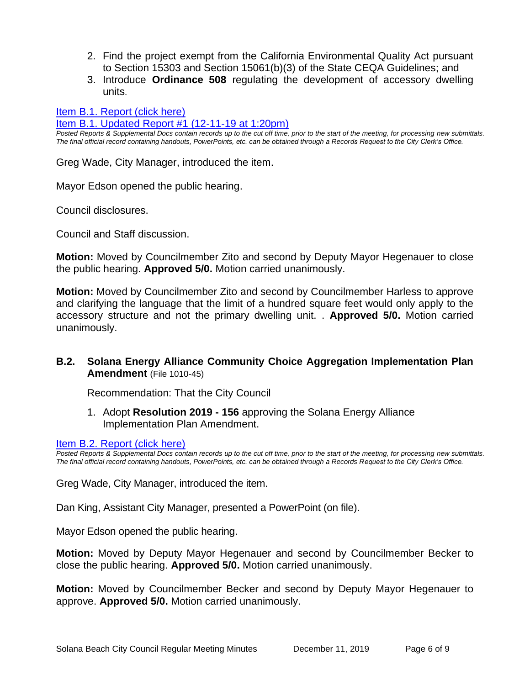- 2. Find the project exempt from the California Environmental Quality Act pursuant to Section 15303 and Section 15061(b)(3) of the State CEQA Guidelines; and
- 3. Introduce **Ordinance 508** regulating the development of accessory dwelling units.

[Item B.1. Report \(click here\)](https://solanabeach.govoffice3.com/vertical/Sites/%7B840804C2-F869-4904-9AE3-720581350CE7%7D/uploads/Item_B.1._Report_(click_here)_12-11-19_-_O.pdf)

[Item B.1. Updated Report #1 \(12-11-19 at 1:20pm\)](https://solanabeach.govoffice3.com/vertical/Sites/%7B840804C2-F869-4904-9AE3-720581350CE7%7D/uploads/Item_B.1._Updated_Report_1.pdf)

*Posted Reports & Supplemental Docs contain records up to the cut off time, prior to the start of the meeting, for processing new submittals. The final official record containing handouts, PowerPoints, etc. can be obtained through a Records Request to the City Clerk's Office.*

Greg Wade, City Manager, introduced the item.

Mayor Edson opened the public hearing.

Council disclosures.

Council and Staff discussion.

**Motion:** Moved by Councilmember Zito and second by Deputy Mayor Hegenauer to close the public hearing. **Approved 5/0.** Motion carried unanimously.

**Motion:** Moved by Councilmember Zito and second by Councilmember Harless to approve and clarifying the language that the limit of a hundred square feet would only apply to the accessory structure and not the primary dwelling unit. . **Approved 5/0.** Motion carried unanimously.

# **B.2. Solana Energy Alliance Community Choice Aggregation Implementation Plan Amendment** (File 1010-45)

Recommendation: That the City Council

1. Adopt **Resolution 2019 - 156** approving the Solana Energy Alliance Implementation Plan Amendment.

#### [Item B.2. Report \(click here\)](https://solanabeach.govoffice3.com/vertical/Sites/%7B840804C2-F869-4904-9AE3-720581350CE7%7D/uploads/Item_B.2._Report_(click_here)_12-11-19_-_O.pdf)

*Posted Reports & Supplemental Docs contain records up to the cut off time, prior to the start of the meeting, for processing new submittals. The final official record containing handouts, PowerPoints, etc. can be obtained through a Records Request to the City Clerk's Office.*

Greg Wade, City Manager, introduced the item.

Dan King, Assistant City Manager, presented a PowerPoint (on file).

Mayor Edson opened the public hearing.

**Motion:** Moved by Deputy Mayor Hegenauer and second by Councilmember Becker to close the public hearing. **Approved 5/0.** Motion carried unanimously.

**Motion:** Moved by Councilmember Becker and second by Deputy Mayor Hegenauer to approve. **Approved 5/0.** Motion carried unanimously.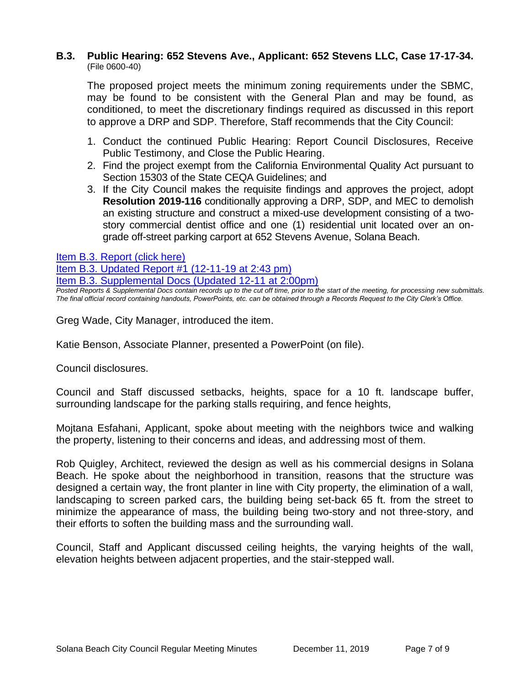# **B.3. Public Hearing: 652 Stevens Ave., Applicant: 652 Stevens LLC, Case 17-17-34.** (File 0600-40)

The proposed project meets the minimum zoning requirements under the SBMC, may be found to be consistent with the General Plan and may be found, as conditioned, to meet the discretionary findings required as discussed in this report to approve a DRP and SDP. Therefore, Staff recommends that the City Council:

- 1. Conduct the continued Public Hearing: Report Council Disclosures, Receive Public Testimony, and Close the Public Hearing.
- 2. Find the project exempt from the California Environmental Quality Act pursuant to Section 15303 of the State CEQA Guidelines; and
- 3. If the City Council makes the requisite findings and approves the project, adopt **Resolution 2019-116** conditionally approving a DRP, SDP, and MEC to demolish an existing structure and construct a mixed-use development consisting of a twostory commercial dentist office and one (1) residential unit located over an ongrade off-street parking carport at 652 Stevens Avenue, Solana Beach.

[Item B.3. Report \(click here\)](https://solanabeach.govoffice3.com/vertical/Sites/%7B840804C2-F869-4904-9AE3-720581350CE7%7D/uploads/Item_B.3._Report_(click_here)_12-11-19_-_O.pdf)

[Item B.3. Updated Report #1 \(12-11-19 at 2:43](https://solanabeach.govoffice3.com/vertical/Sites/%7B840804C2-F869-4904-9AE3-720581350CE7%7D/uploads/Item_B.3._Staff_Report_Update_1_(12-11_236_pm)_-_O.pdf) pm)

[Item B.3. Supplemental Docs \(Updated 12-11](https://solanabeach.govoffice3.com/vertical/Sites/%7B840804C2-F869-4904-9AE3-720581350CE7%7D/uploads/Blue_Folder_B.3._(12-11_243pm).pdf) at 2:00pm)

*Posted Reports & Supplemental Docs contain records up to the cut off time, prior to the start of the meeting, for processing new submittals. The final official record containing handouts, PowerPoints, etc. can be obtained through a Records Request to the City Clerk's Office.*

Greg Wade, City Manager, introduced the item.

Katie Benson, Associate Planner, presented a PowerPoint (on file).

Council disclosures.

Council and Staff discussed setbacks, heights, space for a 10 ft. landscape buffer, surrounding landscape for the parking stalls requiring, and fence heights,

Mojtana Esfahani, Applicant, spoke about meeting with the neighbors twice and walking the property, listening to their concerns and ideas, and addressing most of them.

Rob Quigley, Architect, reviewed the design as well as his commercial designs in Solana Beach. He spoke about the neighborhood in transition, reasons that the structure was designed a certain way, the front planter in line with City property, the elimination of a wall, landscaping to screen parked cars, the building being set-back 65 ft. from the street to minimize the appearance of mass, the building being two-story and not three-story, and their efforts to soften the building mass and the surrounding wall.

Council, Staff and Applicant discussed ceiling heights, the varying heights of the wall, elevation heights between adjacent properties, and the stair-stepped wall.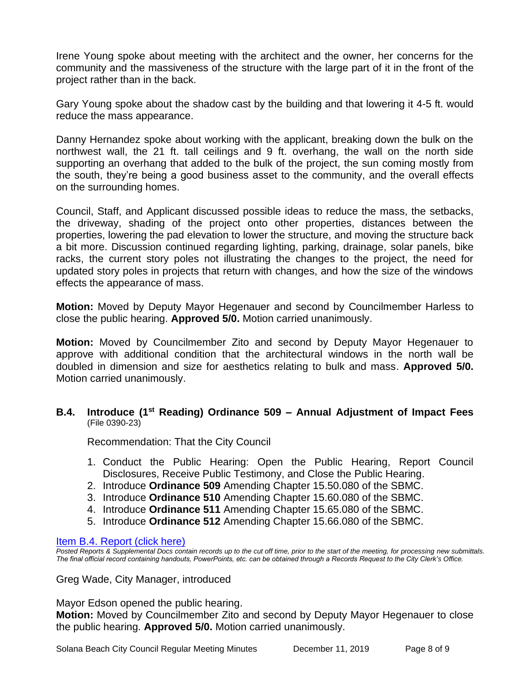Irene Young spoke about meeting with the architect and the owner, her concerns for the community and the massiveness of the structure with the large part of it in the front of the project rather than in the back.

Gary Young spoke about the shadow cast by the building and that lowering it 4-5 ft. would reduce the mass appearance.

Danny Hernandez spoke about working with the applicant, breaking down the bulk on the northwest wall, the 21 ft. tall ceilings and 9 ft. overhang, the wall on the north side supporting an overhang that added to the bulk of the project, the sun coming mostly from the south, they're being a good business asset to the community, and the overall effects on the surrounding homes.

Council, Staff, and Applicant discussed possible ideas to reduce the mass, the setbacks, the driveway, shading of the project onto other properties, distances between the properties, lowering the pad elevation to lower the structure, and moving the structure back a bit more. Discussion continued regarding lighting, parking, drainage, solar panels, bike racks, the current story poles not illustrating the changes to the project, the need for updated story poles in projects that return with changes, and how the size of the windows effects the appearance of mass.

**Motion:** Moved by Deputy Mayor Hegenauer and second by Councilmember Harless to close the public hearing. **Approved 5/0.** Motion carried unanimously.

**Motion:** Moved by Councilmember Zito and second by Deputy Mayor Hegenauer to approve with additional condition that the architectural windows in the north wall be doubled in dimension and size for aesthetics relating to bulk and mass. **Approved 5/0.**  Motion carried unanimously.

# **B.4. Introduce (1st Reading) Ordinance 509 – Annual Adjustment of Impact Fees**  (File 0390-23)

Recommendation: That the City Council

- 1. Conduct the Public Hearing: Open the Public Hearing, Report Council Disclosures, Receive Public Testimony, and Close the Public Hearing.
- 2. Introduce **Ordinance 509** Amending Chapter 15.50.080 of the SBMC.
- 3. Introduce **Ordinance 510** Amending Chapter 15.60.080 of the SBMC.
- 4. Introduce **Ordinance 511** Amending Chapter 15.65.080 of the SBMC.
- 5. Introduce **Ordinance 512** Amending Chapter 15.66.080 of the SBMC.

# [Item B.4. Report \(click here\)](https://solanabeach.govoffice3.com/vertical/Sites/%7B840804C2-F869-4904-9AE3-720581350CE7%7D/uploads/Item_B.4._Report_(click_here)_12-11-19_-_O.pdf)

*Posted Reports & Supplemental Docs contain records up to the cut off time, prior to the start of the meeting, for processing new submittals. The final official record containing handouts, PowerPoints, etc. can be obtained through a Records Request to the City Clerk's Office.*

Greg Wade, City Manager, introduced

Mayor Edson opened the public hearing.

**Motion:** Moved by Councilmember Zito and second by Deputy Mayor Hegenauer to close the public hearing. **Approved 5/0.** Motion carried unanimously.